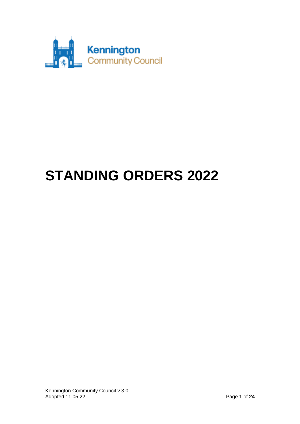

# **STANDING ORDERS 2022**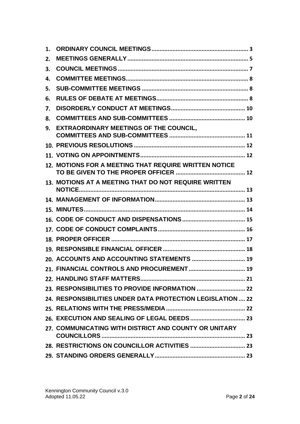| 1. |                                                            |  |
|----|------------------------------------------------------------|--|
| 2. |                                                            |  |
| 3. |                                                            |  |
| 4. |                                                            |  |
| 5. |                                                            |  |
| 6. |                                                            |  |
| 7. |                                                            |  |
| 8. |                                                            |  |
| 9. | <b>EXTRAORDINARY MEETINGS OF THE COUNCIL,</b>              |  |
|    |                                                            |  |
|    |                                                            |  |
|    | 12. MOTIONS FOR A MEETING THAT REQUIRE WRITTEN NOTICE      |  |
|    | 13. MOTIONS AT A MEETING THAT DO NOT REQUIRE WRITTEN       |  |
|    |                                                            |  |
|    |                                                            |  |
|    |                                                            |  |
|    |                                                            |  |
|    |                                                            |  |
|    |                                                            |  |
|    | 20. ACCOUNTS AND ACCOUNTING STATEMENTS  19                 |  |
|    |                                                            |  |
|    |                                                            |  |
|    |                                                            |  |
|    | 24. RESPONSIBILITIES UNDER DATA PROTECTION LEGISLATION  22 |  |
|    |                                                            |  |
|    |                                                            |  |
|    | 27. COMMUNICATING WITH DISTRICT AND COUNTY OR UNITARY      |  |
|    |                                                            |  |
|    |                                                            |  |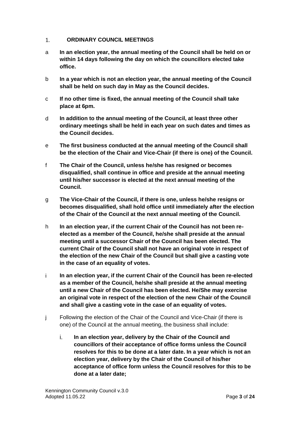#### <span id="page-2-0"></span>**ORDINARY COUNCIL MEETINGS**  $\mathbf{1}$ .

- a **In an election year, the annual meeting of the Council shall be held on or within 14 days following the day on which the councillors elected take office.**
- b **In a year which is not an election year, the annual meeting of the Council shall be held on such day in May as the Council decides.**
- c **If no other time is fixed, the annual meeting of the Council shall take place at 6pm.**
- d **In addition to the annual meeting of the Council, at least three other ordinary meetings shall be held in each year on such dates and times as the Council decides.**
- e **The first business conducted at the annual meeting of the Council shall be the election of the Chair and Vice-Chair (if there is one) of the Council.**
- f **The Chair of the Council, unless he/she has resigned or becomes disqualified, shall continue in office and preside at the annual meeting until his/her successor is elected at the next annual meeting of the Council.**
- g **The Vice-Chair of the Council, if there is one, unless he/she resigns or becomes disqualified, shall hold office until immediately after the election of the Chair of the Council at the next annual meeting of the Council.**
- h **In an election year, if the current Chair of the Council has not been reelected as a member of the Council, he/she shall preside at the annual meeting until a successor Chair of the Council has been elected. The current Chair of the Council shall not have an original vote in respect of the election of the new Chair of the Council but shall give a casting vote in the case of an equality of votes.**
- i **In an election year, if the current Chair of the Council has been re-elected as a member of the Council, he/she shall preside at the annual meeting until a new Chair of the Council has been elected. He/She may exercise an original vote in respect of the election of the new Chair of the Council and shall give a casting vote in the case of an equality of votes.**
- j Following the election of the Chair of the Council and Vice-Chair (if there is one) of the Council at the annual meeting, the business shall include:
	- i. **In an election year, delivery by the Chair of the Council and councillors of their acceptance of office forms unless the Council resolves for this to be done at a later date. In a year which is not an election year, delivery by the Chair of the Council of his/her acceptance of office form unless the Council resolves for this to be done at a later date;**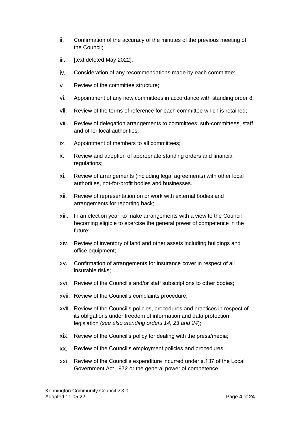- ii. Confirmation of the accuracy of the minutes of the previous meeting of the Council;
- iii. [text deleted May 2022];
- iv. Consideration of any recommendations made by each committee;
- v. Review of the committee structure;
- vi. Appointment of any new committees in accordance with standing order 8;
- vii. Review of the terms of reference for each committee which is retained;
- viii. Review of delegation arrangements to committees, sub-committees, staff and other local authorities;
- ix. Appointment of members to all committees;
- x. Review and adoption of appropriate standing orders and financial regulations;
- xi. Review of arrangements (including legal agreements) with other local authorities, not-for-profit bodies and businesses.
- xii. Review of representation on or work with external bodies and arrangements for reporting back;
- xiii. In an election year, to make arrangements with a view to the Council becoming eligible to exercise the general power of competence in the future;
- xiv. Review of inventory of land and other assets including buildings and office equipment;
- xv. Confirmation of arrangements for insurance cover in respect of all insurable risks;
- xvi. Review of the Council's and/or staff subscriptions to other bodies;
- xvii. Review of the Council's complaints procedure;
- xviii. Review of the Council's policies, procedures and practices in respect of its obligations under freedom of information and data protection legislation (*see also standing orders 14, 23 and 24*);
- xix. Review of the Council's policy for dealing with the press/media;
- xx. Review of the Council's employment policies and procedures;
- xxi. Review of the Council's expenditure incurred under s.137 of the Local Government Act 1972 or the general power of competence.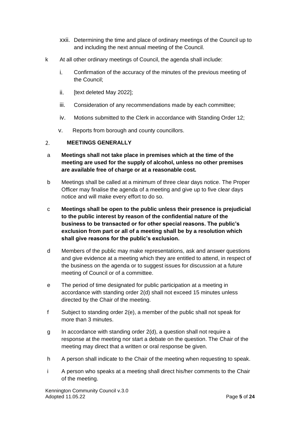- xxii. Determining the time and place of ordinary meetings of the Council up to and including the next annual meeting of the Council.
- k At all other ordinary meetings of Council, the agenda shall include:
	- i. Confirmation of the accuracy of the minutes of the previous meeting of the Council;
	- ii. [text deleted May 2022];
	- iii. Consideration of any recommendations made by each committee;
	- iv. Motions submitted to the Clerk in accordance with Standing Order 12;
	- v. Reports from borough and county councillors.

#### <span id="page-4-0"></span>**MEETINGS GENERALLY**  $2.$

- a **Meetings shall not take place in premises which at the time of the meeting are used for the supply of alcohol, unless no other premises are available free of charge or at a reasonable cost.**
- b Meetings shall be called at a minimum of three clear days notice. The Proper Officer may finalise the agenda of a meeting and give up to five clear days notice and will make every effort to do so.
- c **Meetings shall be open to the public unless their presence is prejudicial to the public interest by reason of the confidential nature of the business to be transacted or for other special reasons. The public's exclusion from part or all of a meeting shall be by a resolution which shall give reasons for the public's exclusion.**
- d Members of the public may make representations, ask and answer questions and give evidence at a meeting which they are entitled to attend, in respect of the business on the agenda or to suggest issues for discussion at a future meeting of Council or of a committee.
- e The period of time designated for public participation at a meeting in accordance with standing order 2(d) shall not exceed 15 minutes unless directed by the Chair of the meeting.
- f Subject to standing order 2(e), a member of the public shall not speak for more than 3 minutes.
- g In accordance with standing order 2(d), a question shall not require a response at the meeting nor start a debate on the question. The Chair of the meeting may direct that a written or oral response be given.
- h A person shall indicate to the Chair of the meeting when requesting to speak.
- i A person who speaks at a meeting shall direct his/her comments to the Chair of the meeting.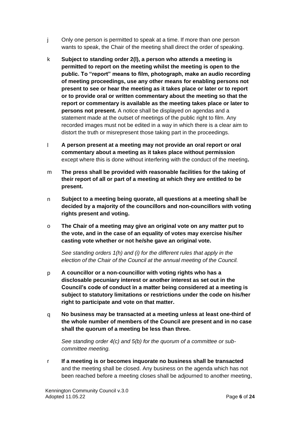- j Only one person is permitted to speak at a time. If more than one person wants to speak, the Chair of the meeting shall direct the order of speaking.
- k **Subject to standing order 2(l), a person who attends a meeting is permitted to report on the meeting whilst the meeting is open to the public. To "report" means to film, photograph, make an audio recording of meeting proceedings, use any other means for enabling persons not present to see or hear the meeting as it takes place or later or to report or to provide oral or written commentary about the meeting so that the report or commentary is available as the meeting takes place or later to persons not present.** A notice shall be displayed on agendas and a statement made at the outset of meetings of the public right to film. Any recorded images must not be edited in a way in which there is a clear aim to distort the truth or misrepresent those taking part in the proceedings.
- l **A person present at a meeting may not provide an oral report or oral commentary about a meeting as it takes place without permission** except where this is done without interfering with the conduct of the meeting**.**
- m **The press shall be provided with reasonable facilities for the taking of their report of all or part of a meeting at which they are entitled to be present.**
- n **Subject to a meeting being quorate, all questions at a meeting shall be decided by a majority of the councillors and non-councillors with voting rights present and voting.**
- o **The Chair of a meeting may give an original vote on any matter put to the vote, and in the case of an equality of votes may exercise his/her casting vote whether or not he/she gave an original vote.**

*See standing orders 1(h) and (i) for the different rules that apply in the election of the Chair of the Council at the annual meeting of the Council.*

- p **A councillor or a non-councillor with voting rights who has a disclosable pecuniary interest or another interest as set out in the Council's code of conduct in a matter being considered at a meeting is subject to statutory limitations or restrictions under the code on his/her right to participate and vote on that matter.**
- q **No business may be transacted at a meeting unless at least one-third of the whole number of members of the Council are present and in no case shall the quorum of a meeting be less than three.**

*See standing order 4(c) and 5(b) for the quorum of a committee or subcommittee meeting.* 

r **If a meeting is or becomes inquorate no business shall be transacted** and the meeting shall be closed. Any business on the agenda which has not been reached before a meeting closes shall be adjourned to another meeting,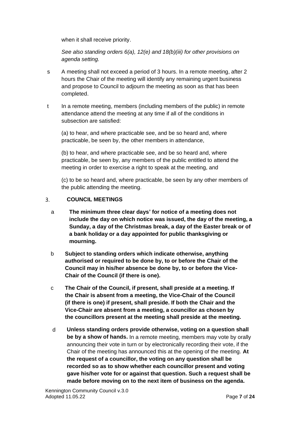when it shall receive priority.

*See also standing orders 6(a), 12(e) and 18(b)(iii) for other provisions on agenda setting.*

- s A meeting shall not exceed a period of 3 hours. In a remote meeting, after 2 hours the Chair of the meeting will identify any remaining urgent business and propose to Council to adjourn the meeting as soon as that has been completed.
- t In a remote meeting, members (including members of the public) in remote attendance attend the meeting at any time if all of the conditions in subsection are satisfied:

(a) to hear, and where practicable see, and be so heard and, where practicable, be seen by, the other members in attendance,

(b) to hear, and where practicable see, and be so heard and, where practicable, be seen by, any members of the public entitled to attend the meeting in order to exercise a right to speak at the meeting, and

(c) to be so heard and, where practicable, be seen by any other members of the public attending the meeting.

#### <span id="page-6-0"></span>**COUNCIL MEETINGS** 3.

- a **The minimum three clear days' for notice of a meeting does not include the day on which notice was issued, the day of the meeting, a Sunday, a day of the Christmas break, a day of the Easter break or of a bank holiday or a day appointed for public thanksgiving or mourning.**
- b **Subject to standing orders which indicate otherwise, anything authorised or required to be done by, to or before the Chair of the Council may in his/her absence be done by, to or before the Vice-Chair of the Council (if there is one).**
- c **The Chair of the Council, if present, shall preside at a meeting. If the Chair is absent from a meeting, the Vice-Chair of the Council (if there is one) if present, shall preside. If both the Chair and the Vice-Chair are absent from a meeting, a councillor as chosen by the councillors present at the meeting shall preside at the meeting.**
- d **Unless standing orders provide otherwise, voting on a question shall be by a show of hands.** In a remote meeting, members may vote by orally announcing their vote in turn or by electronically recording their vote, if the Chair of the meeting has announced this at the opening of the meeting. **At the request of a councillor, the voting on any question shall be recorded so as to show whether each councillor present and voting gave his/her vote for or against that question. Such a request shall be made before moving on to the next item of business on the agenda.**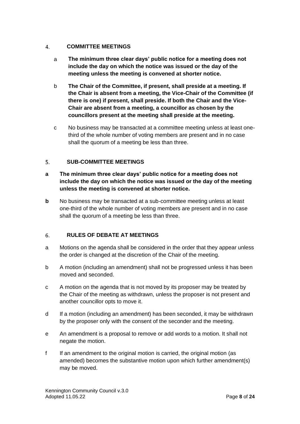#### <span id="page-7-0"></span> $\overline{4}$ . **COMMITTEE MEETINGS**

- a **The minimum three clear days' public notice for a meeting does not include the day on which the notice was issued or the day of the meeting unless the meeting is convened at shorter notice.**
- b **The Chair of the Committee, if present, shall preside at a meeting. If the Chair is absent from a meeting, the Vice-Chair of the Committee (if there is one) if present, shall preside. If both the Chair and the Vice-Chair are absent from a meeting, a councillor as chosen by the councillors present at the meeting shall preside at the meeting.**
- c No business may be transacted at a committee meeting unless at least onethird of the whole number of voting members are present and in no case shall the quorum of a meeting be less than three.

#### <span id="page-7-1"></span>5. **SUB-COMMITTEE MEETINGS**

- **a The minimum three clear days' public notice for a meeting does not include the day on which the notice was issued or the day of the meeting unless the meeting is convened at shorter notice.**
- **b** No business may be transacted at a sub-committee meeting unless at least one-third of the whole number of voting members are present and in no case shall the quorum of a meeting be less than three.

#### <span id="page-7-2"></span>**RULES OF DEBATE AT MEETINGS** 6.

- a Motions on the agenda shall be considered in the order that they appear unless the order is changed at the discretion of the Chair of the meeting.
- b A motion (including an amendment) shall not be progressed unless it has been moved and seconded.
- c A motion on the agenda that is not moved by its proposer may be treated by the Chair of the meeting as withdrawn, unless the proposer is not present and another councillor opts to move it.
- d If a motion (including an amendment) has been seconded, it may be withdrawn by the proposer only with the consent of the seconder and the meeting.
- e An amendment is a proposal to remove or add words to a motion. It shall not negate the motion.
- f If an amendment to the original motion is carried, the original motion (as amended) becomes the substantive motion upon which further amendment(s) may be moved.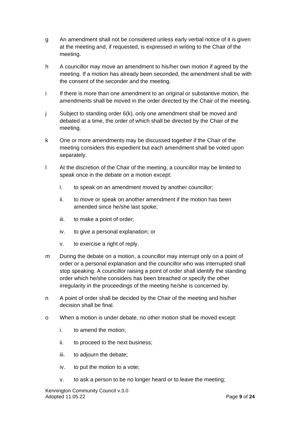- g An amendment shall not be considered unless early verbal notice of it is given at the meeting and, if requested, is expressed in writing to the Chair of the meeting.
- h A councillor may move an amendment to his/her own motion if agreed by the meeting. If a motion has already been seconded, the amendment shall be with the consent of the seconder and the meeting.
- i If there is more than one amendment to an original or substantive motion, the amendments shall be moved in the order directed by the Chair of the meeting.
- j Subject to standing order 6(k), only one amendment shall be moved and debated at a time, the order of which shall be directed by the Chair of the meeting.
- k One or more amendments may be discussed together if the Chair of the meeting considers this expedient but each amendment shall be voted upon separately.
- l At the discretion of the Chair of the meeting, a councillor may be limited to speak once in the debate on a motion except:
	- i. to speak on an amendment moved by another councillor;
	- ii. to move or speak on another amendment if the motion has been amended since he/she last spoke;
	- iii. to make a point of order;
	- iv. to give a personal explanation; or
	- v. to exercise a right of reply.
- m During the debate on a motion, a councillor may interrupt only on a point of order or a personal explanation and the councillor who was interrupted shall stop speaking. A councillor raising a point of order shall identify the standing order which he/she considers has been breached or specify the other irregularity in the proceedings of the meeting he/she is concerned by.
- n A point of order shall be decided by the Chair of the meeting and his/her decision shall be final.
- o When a motion is under debate, no other motion shall be moved except:
	- i. to amend the motion;
	- ii. to proceed to the next business;
	- iii. to adjourn the debate;
	- iv. to put the motion to a vote;
	- v. to ask a person to be no longer heard or to leave the meeting;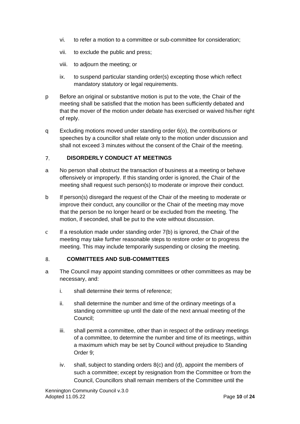- vi. to refer a motion to a committee or sub-committee for consideration;
- vii. to exclude the public and press;
- viii. to adjourn the meeting; or
- ix. to suspend particular standing order(s) excepting those which reflect mandatory statutory or legal requirements.
- p Before an original or substantive motion is put to the vote, the Chair of the meeting shall be satisfied that the motion has been sufficiently debated and that the mover of the motion under debate has exercised or waived his/her right of reply.
- q Excluding motions moved under standing order 6(o), the contributions or speeches by a councillor shall relate only to the motion under discussion and shall not exceed 3 minutes without the consent of the Chair of the meeting.

#### <span id="page-9-0"></span>**DISORDERLY CONDUCT AT MEETINGS**  $7<sub>1</sub>$

- a No person shall obstruct the transaction of business at a meeting or behave offensively or improperly. If this standing order is ignored, the Chair of the meeting shall request such person(s) to moderate or improve their conduct.
- b If person(s) disregard the request of the Chair of the meeting to moderate or improve their conduct, any councillor or the Chair of the meeting may move that the person be no longer heard or be excluded from the meeting. The motion, if seconded, shall be put to the vote without discussion.
- $c$  If a resolution made under standing order  $7(b)$  is ignored, the Chair of the meeting may take further reasonable steps to restore order or to progress the meeting. This may include temporarily suspending or closing the meeting.

#### <span id="page-9-1"></span> $\mathsf{R}$ . **COMMITTEES AND SUB-COMMITTEES**

- a The Council may appoint standing committees or other committees as may be necessary, and:
	- i. shall determine their terms of reference;
	- ii. shall determine the number and time of the ordinary meetings of a standing committee up until the date of the next annual meeting of the Council;
	- iii. shall permit a committee, other than in respect of the ordinary meetings of a committee, to determine the number and time of its meetings, within a maximum which may be set by Council without prejudice to Standing Order 9;
	- iv. shall, subject to standing orders 8(c) and (d), appoint the members of such a committee; except by resignation from the Committee or from the Council, Councillors shall remain members of the Committee until the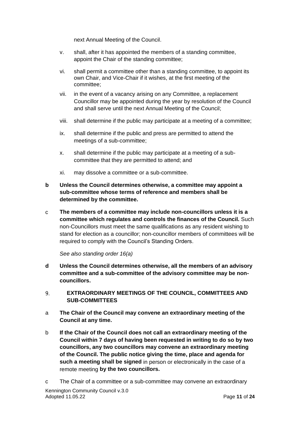next Annual Meeting of the Council.

- v. shall, after it has appointed the members of a standing committee, appoint the Chair of the standing committee;
- vi. shall permit a committee other than a standing committee, to appoint its own Chair, and Vice-Chair if it wishes, at the first meeting of the committee;
- vii. in the event of a vacancy arising on any Committee, a replacement Councillor may be appointed during the year by resolution of the Council and shall serve until the next Annual Meeting of the Council;
- viii. shall determine if the public may participate at a meeting of a committee;
- ix. shall determine if the public and press are permitted to attend the meetings of a sub-committee;
- x. shall determine if the public may participate at a meeting of a subcommittee that they are permitted to attend; and
- xi. may dissolve a committee or a sub-committee.
- **b Unless the Council determines otherwise, a committee may appoint a sub-committee whose terms of reference and members shall be determined by the committee.**
- c **The members of a committee may include non-councillors unless it is a committee which regulates and controls the finances of the Council.** Such non-Councillors must meet the same qualifications as any resident wishing to stand for election as a councillor; non-councillor members of committees will be required to comply with the Council's Standing Orders.

*See also standing order 16(a)*

- **d Unless the Council determines otherwise, all the members of an advisory committee and a sub-committee of the advisory committee may be noncouncillors.**
- <span id="page-10-0"></span> $\mathbf{q}$ **EXTRAORDINARY MEETINGS OF THE COUNCIL, COMMITTEES AND SUB-COMMITTEES**
- a **The Chair of the Council may convene an extraordinary meeting of the Council at any time.**
- b **If the Chair of the Council does not call an extraordinary meeting of the Council within 7 days of having been requested in writing to do so by two councillors, any two councillors may convene an extraordinary meeting of the Council. The public notice giving the time, place and agenda for such a meeting shall be signed** in person or electronically in the case of a remote meeting **by the two councillors.**
- Kennington Community Council v.3.0 Adopted 11.05.22 **Page 11** of **24 Page 11** of **24** c The Chair of a committee or a sub-committee may convene an extraordinary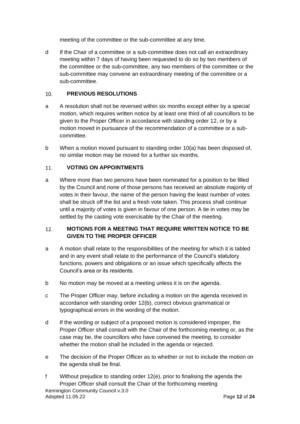meeting of the committee or the sub-committee at any time.

d If the Chair of a committee or a sub-committee does not call an extraordinary meeting within 7 days of having been requested to do so by two members of the committee or the sub-committee, any two members of the committee or the sub-committee may convene an extraordinary meeting of the committee or a sub-committee.

#### <span id="page-11-0"></span> $10.$ **PREVIOUS RESOLUTIONS**

- a A resolution shall not be reversed within six months except either by a special motion, which requires written notice by at least one third of all councillors to be given to the Proper Officer in accordance with standing order 12, or by a motion moved in pursuance of the recommendation of a committee or a subcommittee.
- b When a motion moved pursuant to standing order 10(a) has been disposed of, no similar motion may be moved for a further six months.

#### <span id="page-11-1"></span>11. **VOTING ON APPOINTMENTS**

a Where more than two persons have been nominated for a position to be filled by the Council and none of those persons has received an absolute majority of votes in their favour, the name of the person having the least number of votes shall be struck off the list and a fresh vote taken. This process shall continue until a majority of votes is given in favour of one person. A tie in votes may be settled by the casting vote exercisable by the Chair of the meeting.

### <span id="page-11-2"></span> $12.$ **MOTIONS FOR A MEETING THAT REQUIRE WRITTEN NOTICE TO BE GIVEN TO THE PROPER OFFICER**

- a A motion shall relate to the responsibilities of the meeting for which it is tabled and in any event shall relate to the performance of the Council's statutory functions, powers and obligations or an issue which specifically affects the Council's area or its residents.
- b No motion may be moved at a meeting unless it is on the agenda.
- c The Proper Officer may, before including a motion on the agenda received in accordance with standing order 12(b), correct obvious grammatical or typographical errors in the wording of the motion.
- d If the wording or subject of a proposed motion is considered improper, the Proper Officer shall consult with the Chair of the forthcoming meeting or, as the case may be, the councillors who have convened the meeting, to consider whether the motion shall be included in the agenda or rejected.
- e The decision of the Proper Officer as to whether or not to include the motion on the agenda shall be final.
- Kennington Community Council v.3.0 Adopted 11.05.22 Page **12** of **24** f Without prejudice to standing order 12(e), prior to finalising the agenda the Proper Officer shall consult the Chair of the forthcoming meeting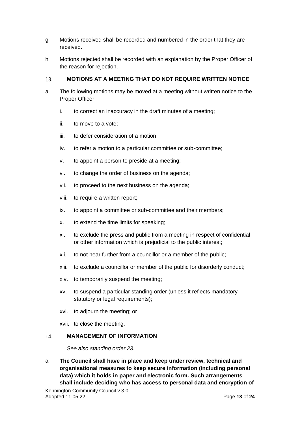- g Motions received shall be recorded and numbered in the order that they are received.
- h Motions rejected shall be recorded with an explanation by the Proper Officer of the reason for rejection.

#### <span id="page-12-0"></span>**MOTIONS AT A MEETING THAT DO NOT REQUIRE WRITTEN NOTICE**  13.

- a The following motions may be moved at a meeting without written notice to the Proper Officer:
	- i. to correct an inaccuracy in the draft minutes of a meeting;
	- ii. to move to a vote;
	- iii. to defer consideration of a motion;
	- iv. to refer a motion to a particular committee or sub-committee;
	- v. to appoint a person to preside at a meeting;
	- vi. to change the order of business on the agenda;
	- vii. to proceed to the next business on the agenda;
	- viii. to require a written report;
	- ix. to appoint a committee or sub-committee and their members;
	- x. to extend the time limits for speaking;
	- xi. to exclude the press and public from a meeting in respect of confidential or other information which is prejudicial to the public interest;
	- xii. to not hear further from a councillor or a member of the public;
	- xiii. to exclude a councillor or member of the public for disorderly conduct;
	- xiv. to temporarily suspend the meeting;
	- xv. to suspend a particular standing order (unless it reflects mandatory statutory or legal requirements);
	- xvi. to adjourn the meeting; or
	- xvii. to close the meeting.

#### <span id="page-12-1"></span>**MANAGEMENT OF INFORMATION**  14.

*See also standing order 23.*

a **The Council shall have in place and keep under review, technical and organisational measures to keep secure information (including personal data) which it holds in paper and electronic form. Such arrangements shall include deciding who has access to personal data and encryption of**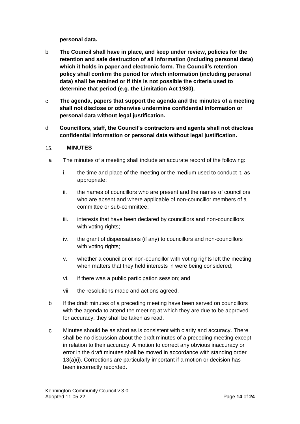**personal data.**

- b **The Council shall have in place, and keep under review, policies for the retention and safe destruction of all information (including personal data) which it holds in paper and electronic form. The Council's retention policy shall confirm the period for which information (including personal data) shall be retained or if this is not possible the criteria used to determine that period (e.g. the Limitation Act 1980).**
- c **The agenda, papers that support the agenda and the minutes of a meeting shall not disclose or otherwise undermine confidential information or personal data without legal justification.**
- d **Councillors, staff, the Council's contractors and agents shall not disclose confidential information or personal data without legal justification.**

#### <span id="page-13-0"></span>15. **MINUTES**

- a The minutes of a meeting shall include an accurate record of the following:
	- i. the time and place of the meeting or the medium used to conduct it, as appropriate;
	- ii. the names of councillors who are present and the names of councillors who are absent and where applicable of non-councillor members of a committee or sub-committee;
	- iii. interests that have been declared by councillors and non-councillors with voting rights;
	- iv. the grant of dispensations (if any) to councillors and non-councillors with voting rights;
	- v. whether a councillor or non-councillor with voting rights left the meeting when matters that they held interests in were being considered;
	- vi. if there was a public participation session; and
	- vii. the resolutions made and actions agreed.
- b If the draft minutes of a preceding meeting have been served on councillors with the agenda to attend the meeting at which they are due to be approved for accuracy, they shall be taken as read.
- c Minutes should be as short as is consistent with clarity and accuracy. There shall be no discussion about the draft minutes of a preceding meeting except in relation to their accuracy. A motion to correct any obvious inaccuracy or error in the draft minutes shall be moved in accordance with standing order 13(a)(i). Corrections are particularly important if a motion or decision has been incorrectly recorded.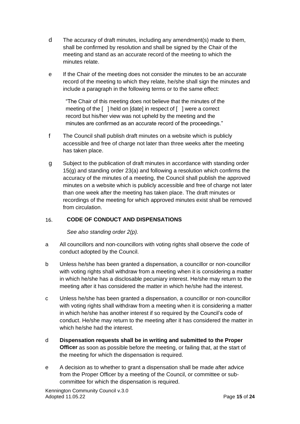- d The accuracy of draft minutes, including any amendment(s) made to them, shall be confirmed by resolution and shall be signed by the Chair of the meeting and stand as an accurate record of the meeting to which the minutes relate.
- e If the Chair of the meeting does not consider the minutes to be an accurate record of the meeting to which they relate, he/she shall sign the minutes and include a paragraph in the following terms or to the same effect:

"The Chair of this meeting does not believe that the minutes of the meeting of the [ ] held on [date] in respect of [ ] were a correct record but his/her view was not upheld by the meeting and the minutes are confirmed as an accurate record of the proceedings."

- f The Council shall publish draft minutes on a website which is publicly accessible and free of charge not later than three weeks after the meeting has taken place.
- g Subject to the publication of draft minutes in accordance with standing order 15(g) and standing order 23(a) and following a resolution which confirms the accuracy of the minutes of a meeting, the Council shall publish the approved minutes on a website which is publicly accessible and free of charge not later than one week after the meeting has taken place. The draft minutes or recordings of the meeting for which approved minutes exist shall be removed from circulation.

#### <span id="page-14-0"></span>16. **CODE OF CONDUCT AND DISPENSATIONS**

*See also standing order 2(p).*

- a All councillors and non-councillors with voting rights shall observe the code of conduct adopted by the Council.
- b Unless he/she has been granted a dispensation, a councillor or non-councillor with voting rights shall withdraw from a meeting when it is considering a matter in which he/she has a disclosable pecuniary interest. He/she may return to the meeting after it has considered the matter in which he/she had the interest.
- c Unless he/she has been granted a dispensation, a councillor or non-councillor with voting rights shall withdraw from a meeting when it is considering a matter in which he/she has another interest if so required by the Council's code of conduct. He/she may return to the meeting after it has considered the matter in which he/she had the interest.
- d **Dispensation requests shall be in writing and submitted to the Proper Officer** as soon as possible before the meeting, or failing that, at the start of the meeting for which the dispensation is required.
- e A decision as to whether to grant a dispensation shall be made after advice from the Proper Officer by a meeting of the Council, or committee or subcommittee for which the dispensation is required.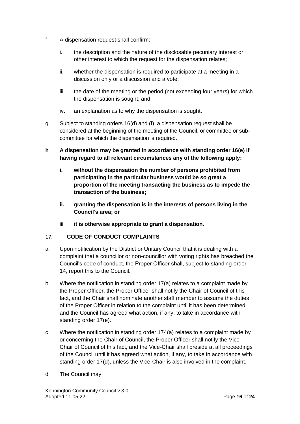- f A dispensation request shall confirm:
	- i. the description and the nature of the disclosable pecuniary interest or other interest to which the request for the dispensation relates;
	- ii. whether the dispensation is required to participate at a meeting in a discussion only or a discussion and a vote;
	- iii. the date of the meeting or the period (not exceeding four years) for which the dispensation is sought; and
	- iv. an explanation as to why the dispensation is sought.
- g Subject to standing orders 16(d) and (f), a dispensation request shall be considered at the beginning of the meeting of the Council, or committee or subcommittee for which the dispensation is required.
- **h A dispensation may be granted in accordance with standing order 16(e) if having regard to all relevant circumstances any of the following apply:**
	- **i. without the dispensation the number of persons prohibited from participating in the particular business would be so great a proportion of the meeting transacting the business as to impede the transaction of the business;**
	- **ii. granting the dispensation is in the interests of persons living in the Council's area; or**
	- iii. **it is otherwise appropriate to grant a dispensation.**

#### <span id="page-15-0"></span>17. **CODE OF CONDUCT COMPLAINTS**

- a Upon notification by the District or Unitary Council that it is dealing with a complaint that a councillor or non-councillor with voting rights has breached the Council's code of conduct, the Proper Officer shall, subject to standing order 14, report this to the Council.
- b Where the notification in standing order 17(a) relates to a complaint made by the Proper Officer, the Proper Officer shall notify the Chair of Council of this fact, and the Chair shall nominate another staff member to assume the duties of the Proper Officer in relation to the complaint until it has been determined and the Council has agreed what action, if any, to take in accordance with standing order 17(e).
- c Where the notification in standing order 174(a) relates to a complaint made by or concerning the Chair of Council, the Proper Officer shall notify the Vice-Chair of Council of this fact, and the Vice-Chair shall preside at all proceedings of the Council until it has agreed what action, if any, to take in accordance with standing order 17(d), unless the Vice-Chair is also involved in the complaint.
- d The Council may: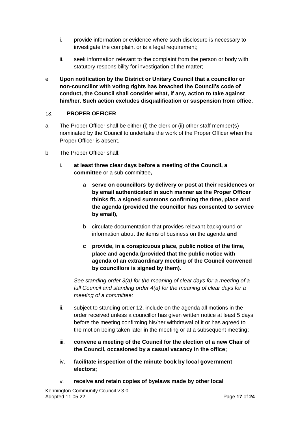- i. provide information or evidence where such disclosure is necessary to investigate the complaint or is a legal requirement;
- ii. seek information relevant to the complaint from the person or body with statutory responsibility for investigation of the matter;
- e **Upon notification by the District or Unitary Council that a councillor or non-councillor with voting rights has breached the Council's code of conduct, the Council shall consider what, if any, action to take against him/her. Such action excludes disqualification or suspension from office.**

#### <span id="page-16-0"></span>18. **PROPER OFFICER**

- a The Proper Officer shall be either (i) the clerk or (ii) other staff member(s) nominated by the Council to undertake the work of the Proper Officer when the Proper Officer is absent.
- b The Proper Officer shall:
	- i. **at least three clear days before a meeting of the Council, a committee** or a sub-committee**,**
		- **a serve on councillors by delivery or post at their residences or by email authenticated in such manner as the Proper Officer thinks fit, a signed summons confirming the time, place and the agenda (provided the councillor has consented to service by email),**
		- b circulate documentation that provides relevant background or information about the items of business on the agenda **and**
		- **c provide, in a conspicuous place, public notice of the time, place and agenda (provided that the public notice with agenda of an extraordinary meeting of the Council convened by councillors is signed by them).**

*See standing order 3(a) for the meaning of clear days for a meeting of a full Council and standing order 4(a) for the meaning of clear days for a meeting of a committee;*

- ii. subject to standing order 12, include on the agenda all motions in the order received unless a councillor has given written notice at least 5 days before the meeting confirming his/her withdrawal of it or has agreed to the motion being taken later in the meeting or at a subsequent meeting;
- iii. **convene a meeting of the Council for the election of a new Chair of the Council, occasioned by a casual vacancy in the office;**
- iv. **facilitate inspection of the minute book by local government electors;**
- v. **receive and retain copies of byelaws made by other local**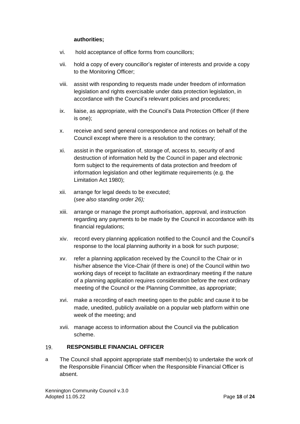## **authorities;**

- vi. hold acceptance of office forms from councillors;
- vii. hold a copy of every councillor's register of interests and provide a copy to the Monitoring Officer;
- viii. assist with responding to requests made under freedom of information legislation and rights exercisable under data protection legislation, in accordance with the Council's relevant policies and procedures;
- ix. liaise, as appropriate, with the Council's Data Protection Officer (if there is one);
- x. receive and send general correspondence and notices on behalf of the Council except where there is a resolution to the contrary;
- xi. assist in the organisation of, storage of, access to, security of and destruction of information held by the Council in paper and electronic form subject to the requirements of data protection and freedom of information legislation and other legitimate requirements (e.g. the Limitation Act 1980);
- xii. arrange for legal deeds to be executed; (*see also standing order 26);*
- xiii. arrange or manage the prompt authorisation, approval, and instruction regarding any payments to be made by the Council in accordance with its financial regulations;
- xiv. record every planning application notified to the Council and the Council's response to the local planning authority in a book for such purpose;
- xv. refer a planning application received by the Council to the Chair or in his/her absence the Vice-Chair (if there is one) of the Council within two working days of receipt to facilitate an extraordinary meeting if the nature of a planning application requires consideration before the next ordinary meeting of the Council or the Planning Committee, as appropriate;
- xvi. make a recording of each meeting open to the public and cause it to be made, unedited, publicly available on a popular web platform within one week of the meeting; and
- xvii. manage access to information about the Council via the publication scheme.

#### <span id="page-17-0"></span>19. **RESPONSIBLE FINANCIAL OFFICER**

a The Council shall appoint appropriate staff member(s) to undertake the work of the Responsible Financial Officer when the Responsible Financial Officer is absent.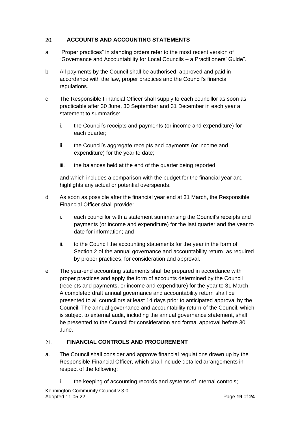#### <span id="page-18-0"></span>**ACCOUNTS AND ACCOUNTING STATEMENTS**  $20.$

- a "Proper practices" in standing orders refer to the most recent version of "Governance and Accountability for Local Councils – a Practitioners' Guide".
- b All payments by the Council shall be authorised, approved and paid in accordance with the law, proper practices and the Council's financial regulations.
- c The Responsible Financial Officer shall supply to each councillor as soon as practicable after 30 June, 30 September and 31 December in each year a statement to summarise:
	- i. the Council's receipts and payments (or income and expenditure) for each quarter;
	- ii. the Council's aggregate receipts and payments (or income and expenditure) for the year to date;
	- iii. the balances held at the end of the quarter being reported

and which includes a comparison with the budget for the financial year and highlights any actual or potential overspends.

- d As soon as possible after the financial year end at 31 March, the Responsible Financial Officer shall provide:
	- i. each councillor with a statement summarising the Council's receipts and payments (or income and expenditure) for the last quarter and the year to date for information; and
	- ii. to the Council the accounting statements for the year in the form of Section 2 of the annual governance and accountability return, as required by proper practices, for consideration and approval.
- e The year-end accounting statements shall be prepared in accordance with proper practices and apply the form of accounts determined by the Council (receipts and payments, or income and expenditure) for the year to 31 March. A completed draft annual governance and accountability return shall be presented to all councillors at least 14 days prior to anticipated approval by the Council. The annual governance and accountability return of the Council, which is subject to external audit, including the annual governance statement, shall be presented to the Council for consideration and formal approval before 30 June.

#### <span id="page-18-1"></span>**FINANCIAL CONTROLS AND PROCUREMENT**  $21.$

- a. The Council shall consider and approve financial regulations drawn up by the Responsible Financial Officer, which shall include detailed arrangements in respect of the following:
	- i. the keeping of accounting records and systems of internal controls;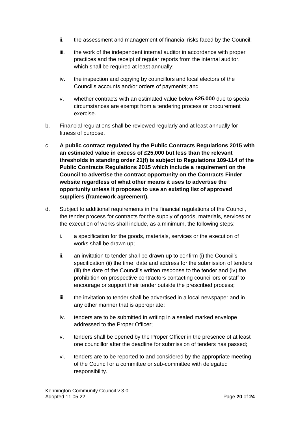- ii. the assessment and management of financial risks faced by the Council;
- iii. the work of the independent internal auditor in accordance with proper practices and the receipt of regular reports from the internal auditor, which shall be required at least annually;
- iv. the inspection and copying by councillors and local electors of the Council's accounts and/or orders of payments; and
- v. whether contracts with an estimated value below **£25,000** due to special circumstances are exempt from a tendering process or procurement exercise.
- b. Financial regulations shall be reviewed regularly and at least annually for fitness of purpose.
- c. **A public contract regulated by the Public Contracts Regulations 2015 with an estimated value in excess of £25,000 but less than the relevant thresholds in standing order 21(f) is subject to Regulations 109-114 of the Public Contracts Regulations 2015 which include a requirement on the Council to advertise the contract opportunity on the Contracts Finder website regardless of what other means it uses to advertise the opportunity unless it proposes to use an existing list of approved suppliers (framework agreement).**
- d. Subject to additional requirements in the financial regulations of the Council, the tender process for contracts for the supply of goods, materials, services or the execution of works shall include, as a minimum, the following steps:
	- i. a specification for the goods, materials, services or the execution of works shall be drawn up;
	- ii. an invitation to tender shall be drawn up to confirm (i) the Council's specification (ii) the time, date and address for the submission of tenders (iii) the date of the Council's written response to the tender and (iv) the prohibition on prospective contractors contacting councillors or staff to encourage or support their tender outside the prescribed process;
	- iii. the invitation to tender shall be advertised in a local newspaper and in any other manner that is appropriate;
	- iv. tenders are to be submitted in writing in a sealed marked envelope addressed to the Proper Officer;
	- v. tenders shall be opened by the Proper Officer in the presence of at least one councillor after the deadline for submission of tenders has passed;
	- vi. tenders are to be reported to and considered by the appropriate meeting of the Council or a committee or sub-committee with delegated responsibility.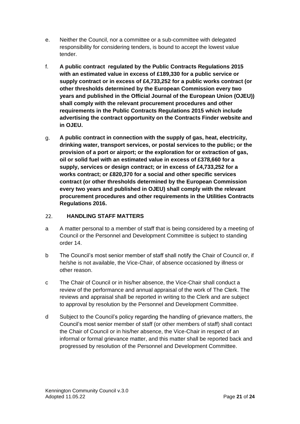- e. Neither the Council, nor a committee or a sub-committee with delegated responsibility for considering tenders, is bound to accept the lowest value tender.
- f. **A public contract regulated by the Public Contracts Regulations 2015 with an estimated value in excess of £189,330 for a public service or supply contract or in excess of £4,733,252 for a public works contract (or other thresholds determined by the European Commission every two years and published in the Official Journal of the European Union (OJEU)) shall comply with the relevant procurement procedures and other requirements in the Public Contracts Regulations 2015 which include advertising the contract opportunity on the Contracts Finder website and in OJEU.**
- g. **A public contract in connection with the supply of gas, heat, electricity, drinking water, transport services, or postal services to the public; or the provision of a port or airport; or the exploration for or extraction of gas, oil or solid fuel with an estimated value in excess of £378,660 for a supply, services or design contract; or in excess of £4,733,252 for a works contract; or £820,370 for a social and other specific services contract (or other thresholds determined by the European Commission every two years and published in OJEU) shall comply with the relevant procurement procedures and other requirements in the Utilities Contracts Regulations 2016.**

#### <span id="page-20-0"></span> $22.$ **HANDLING STAFF MATTERS**

- a A matter personal to a member of staff that is being considered by a meeting of Council or the Personnel and Development Committee is subject to standing order 14.
- b The Council's most senior member of staff shall notify the Chair of Council or, if he/she is not available, the Vice-Chair, of absence occasioned by illness or other reason.
- c The Chair of Council or in his/her absence, the Vice-Chair shall conduct a review of the performance and annual appraisal of the work of The Clerk. The reviews and appraisal shall be reported in writing to the Clerk and are subject to approval by resolution by the Personnel and Development Committee.
- d Subject to the Council's policy regarding the handling of grievance matters, the Council's most senior member of staff (or other members of staff) shall contact the Chair of Council or in his/her absence, the Vice-Chair in respect of an informal or formal grievance matter, and this matter shall be reported back and progressed by resolution of the Personnel and Development Committee.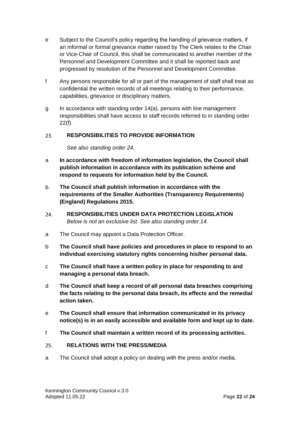- e Subject to the Council's policy regarding the handling of grievance matters, if an informal or formal grievance matter raised by The Clerk relates to the Chair or Vice-Chair of Council, this shall be communicated to another member of the Personnel and Development Committee and it shall be reported back and progressed by resolution of the Personnel and Development Committee.
- f Any persons responsible for all or part of the management of staff shall treat as confidential the written records of all meetings relating to their performance, capabilities, grievance or disciplinary matters.
- g In accordance with standing order 14(a), persons with line management responsibilities shall have access to staff records referred to in standing order 22(f).

#### <span id="page-21-0"></span>23. **RESPONSIBILITIES TO PROVIDE INFORMATION**

*See also standing order 24.*

- a **In accordance with freedom of information legislation, the Council shall publish information in accordance with its publication scheme and respond to requests for information held by the Council.**
- b. **The Council shall publish information in accordance with the requirements of the Smaller Authorities (Transparency Requirements) (England) Regulations 2015.**
- <span id="page-21-1"></span>**RESPONSIBILITIES UNDER DATA PROTECTION LEGISLATION**  24. *Below is not an exclusive list*. *See also standing order 14.*
- a The Council may appoint a Data Protection Officer.
- b **The Council shall have policies and procedures in place to respond to an individual exercising statutory rights concerning his/her personal data.**
- c **The Council shall have a written policy in place for responding to and managing a personal data breach.**
- d **The Council shall keep a record of all personal data breaches comprising the facts relating to the personal data breach, its effects and the remedial action taken.**
- e **The Council shall ensure that information communicated in its privacy notice(s) is in an easily accessible and available form and kept up to date.**
- f **The Council shall maintain a written record of its processing activities.**

#### <span id="page-21-2"></span>**RELATIONS WITH THE PRESS/MEDIA** 25.

a The Council shall adopt a policy on dealing with the press and/or media.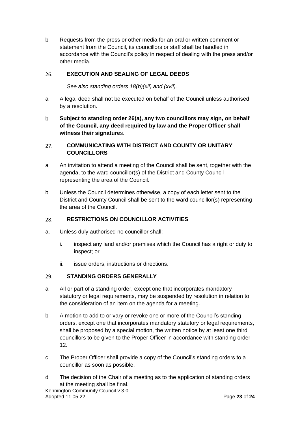b Requests from the press or other media for an oral or written comment or statement from the Council, its councillors or staff shall be handled in accordance with the Council's policy in respect of dealing with the press and/or other media.

#### <span id="page-22-0"></span>26. **EXECUTION AND SEALING OF LEGAL DEEDS**

*See also standing orders 18(b)(xii) and (xvii).*

- a A legal deed shall not be executed on behalf of the Council unless authorised by a resolution.
- b **Subject to standing order 26(a), any two councillors may sign, on behalf of the Council, any deed required by law and the Proper Officer shall witness their signature**s.

## <span id="page-22-1"></span>27. **COMMUNICATING WITH DISTRICT AND COUNTY OR UNITARY COUNCILLORS**

- a An invitation to attend a meeting of the Council shall be sent, together with the agenda, to the ward councillor(s) of the District and County Council representing the area of the Council.
- b Unless the Council determines otherwise, a copy of each letter sent to the District and County Council shall be sent to the ward councillor(s) representing the area of the Council.

#### <span id="page-22-2"></span>28. **RESTRICTIONS ON COUNCILLOR ACTIVITIES**

- a. Unless duly authorised no councillor shall:
	- i. inspect any land and/or premises which the Council has a right or duty to inspect; or
	- ii. issue orders, instructions or directions.

#### <span id="page-22-3"></span>29. **STANDING ORDERS GENERALLY**

- a All or part of a standing order, except one that incorporates mandatory statutory or legal requirements, may be suspended by resolution in relation to the consideration of an item on the agenda for a meeting.
- b A motion to add to or vary or revoke one or more of the Council's standing orders, except one that incorporates mandatory statutory or legal requirements, shall be proposed by a special motion, the written notice by at least one third councillors to be given to the Proper Officer in accordance with standing order 12.
- c The Proper Officer shall provide a copy of the Council's standing orders to a councillor as soon as possible.
- d The decision of the Chair of a meeting as to the application of standing orders at the meeting shall be final.

Kennington Community Council v.3.0 Adopted 11.05.22 Page **23** of **24**